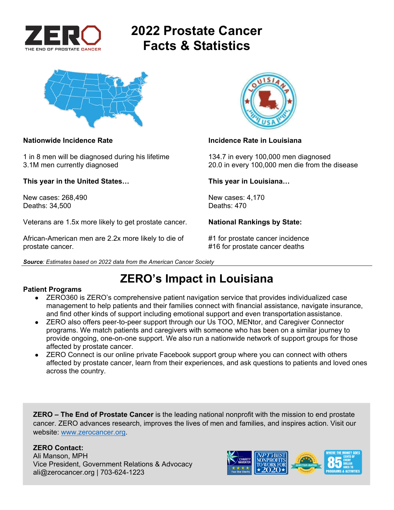

# **2022 Prostate Cancer Facts & Statistics**



1 in 8 men will be diagnosed during his lifetime 134.7 in every 100,000 men diagnosed

**This year in the United States… This year in Louisiana…** 

New cases: 268,490 New cases: 4,170 Deaths: 34,500

Veterans are 1.5x more likely to get prostate cancer. **National Rankings by State:** 

African-American men are 2.2x more likely to die of  $#1$  for prostate cancer incidence prostate cancer. #16 for prostate cancer deaths





### **Nationwide Incidence Rate Incidence Rate in Louisiana**

3.1M men currently diagnosed 20.0 in every 100,000 men die from the disease

## **ZERO's Impact in Louisiana**

### **Patient Programs**

- ZERO360 is ZERO's comprehensive patient navigation service that provides individualized case management to help patients and their families connect with financial assistance, navigate insurance, and find other kinds of support including emotional support and even transportation assistance.
- ZERO also offers peer-to-peer support through our Us TOO, MENtor, and Caregiver Connector programs. We match patients and caregivers with someone who has been on a similar journey to provide ongoing, one-on-one support. We also run a nationwide network of support groups for those affected by prostate cancer.
- ZERO Connect is our online private Facebook support group where you can connect with others affected by prostate cancer, learn from their experiences, and ask questions to patients and loved ones across the country.

**ZERO – The End of Prostate Cancer** is the leading national nonprofit with the mission to end prostate cancer. ZERO advances research, improves the lives of men and families, and inspires action. Visit our website: www.zerocancer.org.

### **ZERO Contact:**

Ali Manson, MPH Vice President, Government Relations & Advocacy ali@zerocancer.org | 703-624-1223